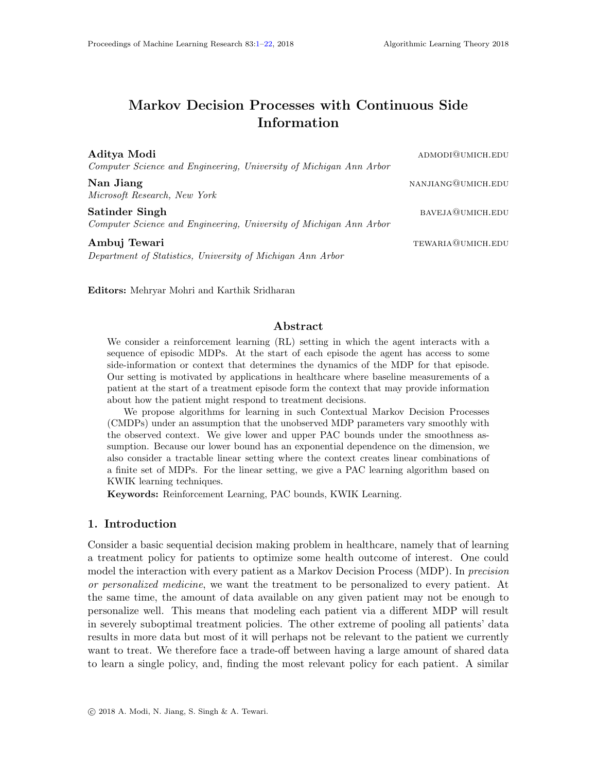# <span id="page-0-0"></span>Markov Decision Processes with Continuous Side Information

| Aditya Modi<br>Computer Science and Engineering, University of Michigan Ann Arbor    | ADMODIQUMICH.EDU   |
|--------------------------------------------------------------------------------------|--------------------|
| Nan Jiang<br>Microsoft Research, New York                                            | NANJIANG@UMICH.EDU |
| Satinder Singh<br>Computer Science and Engineering, University of Michigan Ann Arbor | BAVEJA@UMICH.EDU   |
| Ambuj Tewari<br>Department of Statistics, University of Michigan Ann Arbor           | TEWARIA@UMICH.EDU  |

Editors: Mehryar Mohri and Karthik Sridharan

# Abstract

We consider a reinforcement learning (RL) setting in which the agent interacts with a sequence of episodic MDPs. At the start of each episode the agent has access to some side-information or context that determines the dynamics of the MDP for that episode. Our setting is motivated by applications in healthcare where baseline measurements of a patient at the start of a treatment episode form the context that may provide information about how the patient might respond to treatment decisions.

We propose algorithms for learning in such Contextual Markov Decision Processes (CMDPs) under an assumption that the unobserved MDP parameters vary smoothly with the observed context. We give lower and upper PAC bounds under the smoothness assumption. Because our lower bound has an exponential dependence on the dimension, we also consider a tractable linear setting where the context creates linear combinations of a finite set of MDPs. For the linear setting, we give a PAC learning algorithm based on KWIK learning techniques.

Keywords: Reinforcement Learning, PAC bounds, KWIK Learning.

### 1. Introduction

Consider a basic sequential decision making problem in healthcare, namely that of learning a treatment policy for patients to optimize some health outcome of interest. One could model the interaction with every patient as a Markov Decision Process (MDP). In *precision* or personalized medicine, we want the treatment to be personalized to every patient. At the same time, the amount of data available on any given patient may not be enough to personalize well. This means that modeling each patient via a different MDP will result in severely suboptimal treatment policies. The other extreme of pooling all patients' data results in more data but most of it will perhaps not be relevant to the patient we currently want to treat. We therefore face a trade-off between having a large amount of shared data to learn a single policy, and, finding the most relevant policy for each patient. A similar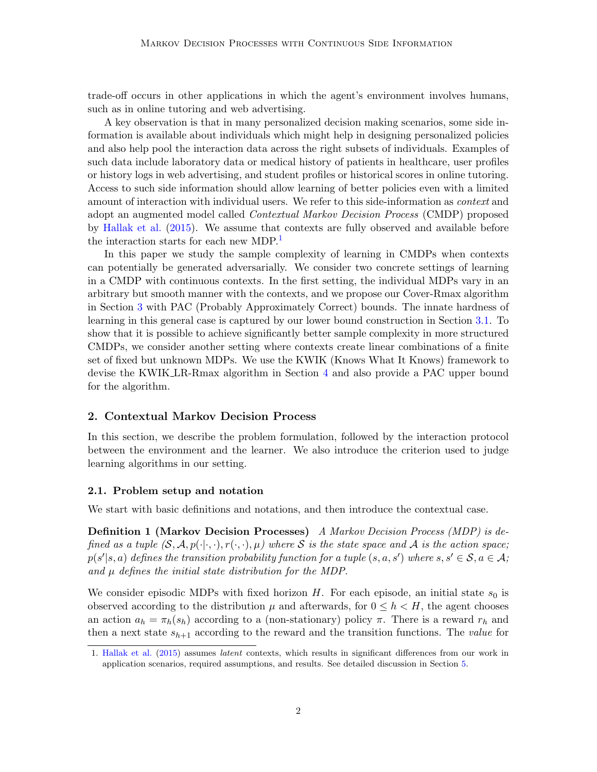trade-off occurs in other applications in which the agent's environment involves humans, such as in online tutoring and web advertising.

A key observation is that in many personalized decision making scenarios, some side information is available about individuals which might help in designing personalized policies and also help pool the interaction data across the right subsets of individuals. Examples of such data include laboratory data or medical history of patients in healthcare, user profiles or history logs in web advertising, and student profiles or historical scores in online tutoring. Access to such side information should allow learning of better policies even with a limited amount of interaction with individual users. We refer to this side-information as *context* and adopt an augmented model called Contextual Markov Decision Process (CMDP) proposed by [Hallak et al.](#page-12-0) [\(2015\)](#page-12-0). We assume that contexts are fully observed and available before the interaction starts for each new MDP.<sup>[1](#page-1-0)</sup>

In this paper we study the sample complexity of learning in CMDPs when contexts can potentially be generated adversarially. We consider two concrete settings of learning in a CMDP with continuous contexts. In the first setting, the individual MDPs vary in an arbitrary but smooth manner with the contexts, and we propose our Cover-Rmax algorithm in Section [3](#page-2-0) with PAC (Probably Approximately Correct) bounds. The innate hardness of learning in this general case is captured by our lower bound construction in Section [3.1.](#page-5-0) To show that it is possible to achieve significantly better sample complexity in more structured CMDPs, we consider another setting where contexts create linear combinations of a finite set of fixed but unknown MDPs. We use the KWIK (Knows What It Knows) framework to devise the KWIK LR-Rmax algorithm in Section [4](#page-6-0) and also provide a PAC upper bound for the algorithm.

### 2. Contextual Markov Decision Process

In this section, we describe the problem formulation, followed by the interaction protocol between the environment and the learner. We also introduce the criterion used to judge learning algorithms in our setting.

#### 2.1. Problem setup and notation

We start with basic definitions and notations, and then introduce the contextual case.

**Definition 1 (Markov Decision Processes)** A Markov Decision Process (MDP) is defined as a tuple  $(S, \mathcal{A}, p(\cdot|\cdot,\cdot), r(\cdot,\cdot), \mu)$  where S is the state space and A is the action space;  $p(s'|s, a)$  defines the transition probability function for a tuple  $(s, a, s')$  where  $s, s' \in \mathcal{S}, a \in \mathcal{A}$ ; and  $\mu$  defines the initial state distribution for the MDP.

We consider episodic MDPs with fixed horizon H. For each episode, an initial state  $s_0$  is observed according to the distribution  $\mu$  and afterwards, for  $0 \leq h \leq H$ , the agent chooses an action  $a_h = \pi_h(s_h)$  according to a (non-stationary) policy  $\pi$ . There is a reward  $r_h$  and then a next state  $s_{h+1}$  according to the reward and the transition functions. The value for

<span id="page-1-0"></span><sup>1.</sup> [Hallak et al.](#page-12-0) [\(2015\)](#page-12-0) assumes latent contexts, which results in significant differences from our work in application scenarios, required assumptions, and results. See detailed discussion in Section [5.](#page-10-0)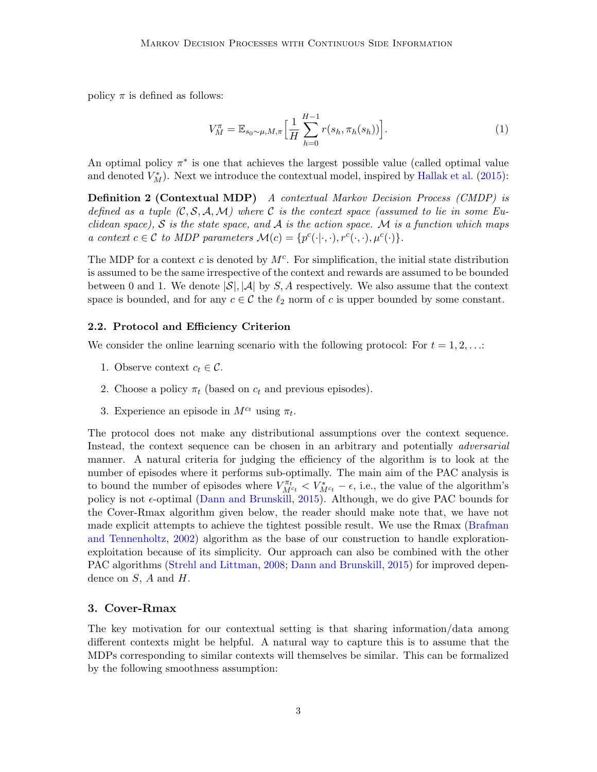policy  $\pi$  is defined as follows:

<span id="page-2-1"></span>
$$
V_M^{\pi} = \mathbb{E}_{s_0 \sim \mu, M, \pi} \left[ \frac{1}{H} \sum_{h=0}^{H-1} r(s_h, \pi_h(s_h)) \right].
$$
 (1)

An optimal policy  $\pi^*$  is one that achieves the largest possible value (called optimal value and denoted  $V_M^*$ ). Next we introduce the contextual model, inspired by [Hallak et al.](#page-12-0) [\(2015\)](#page-12-0):

**Definition 2 (Contextual MDP)** A contextual Markov Decision Process (CMDP) is defined as a tuple  $(C, S, A, M)$  where C is the context space (assumed to lie in some Euclidean space), S is the state space, and A is the action space. M is a function which maps a context  $c \in \mathcal{C}$  to MDP parameters  $\mathcal{M}(c) = \{p^c(\cdot|\cdot,\cdot), r^c(\cdot,\cdot), \mu^c(\cdot)\}.$ 

The MDP for a context c is denoted by  $M<sup>c</sup>$ . For simplification, the initial state distribution is assumed to be the same irrespective of the context and rewards are assumed to be bounded between 0 and 1. We denote  $|\mathcal{S}|, |\mathcal{A}|$  by S, A respectively. We also assume that the context space is bounded, and for any  $c \in \mathcal{C}$  the  $\ell_2$  norm of c is upper bounded by some constant.

#### 2.2. Protocol and Efficiency Criterion

We consider the online learning scenario with the following protocol: For  $t = 1, 2, \ldots$ :

- 1. Observe context  $c_t \in \mathcal{C}$ .
- 2. Choose a policy  $\pi_t$  (based on  $c_t$  and previous episodes).
- 3. Experience an episode in  $M^{c_t}$  using  $\pi_t$ .

The protocol does not make any distributional assumptions over the context sequence. Instead, the context sequence can be chosen in an arbitrary and potentially *adversarial* manner. A natural criteria for judging the efficiency of the algorithm is to look at the number of episodes where it performs sub-optimally. The main aim of the PAC analysis is to bound the number of episodes where  $V_{M^{c_t}}^{\pi_t} < V_{M^{c_t}}^* - \epsilon$ , i.e., the value of the algorithm's policy is not  $\epsilon$ -optimal [\(Dann and Brunskill,](#page-12-1) [2015\)](#page-12-1). Although, we do give PAC bounds for the Cover-Rmax algorithm given below, the reader should make note that, we have not made explicit attempts to achieve the tightest possible result. We use the Rmax [\(Brafman](#page-12-2) [and Tennenholtz,](#page-12-2) [2002\)](#page-12-2) algorithm as the base of our construction to handle explorationexploitation because of its simplicity. Our approach can also be combined with the other PAC algorithms [\(Strehl and Littman,](#page-13-0) [2008;](#page-13-0) [Dann and Brunskill,](#page-12-1) [2015\)](#page-12-1) for improved dependence on  $S$ ,  $A$  and  $H$ .

# <span id="page-2-0"></span>3. Cover-Rmax

<span id="page-2-2"></span>The key motivation for our contextual setting is that sharing information/data among different contexts might be helpful. A natural way to capture this is to assume that the MDPs corresponding to similar contexts will themselves be similar. This can be formalized by the following smoothness assumption: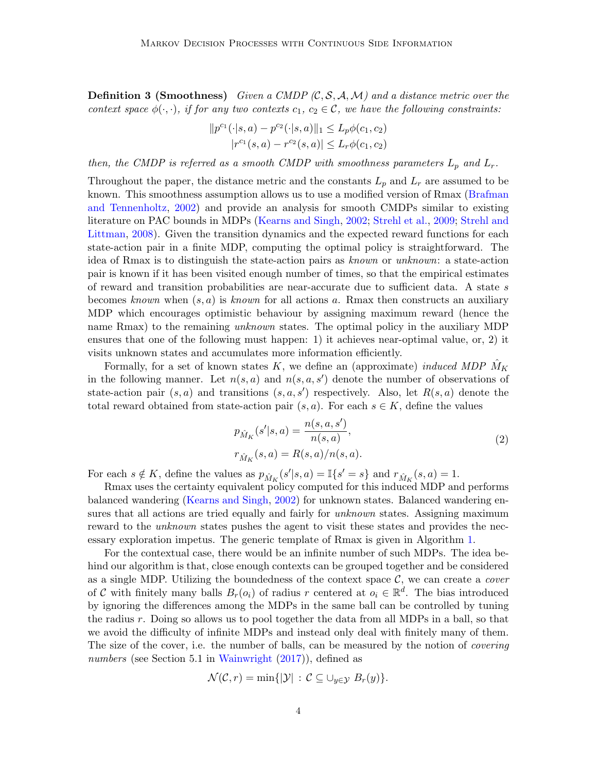**Definition 3 (Smoothness)** Given a CMDP  $(C, \mathcal{S}, \mathcal{A}, \mathcal{M})$  and a distance metric over the context space  $\phi(\cdot,\cdot)$ , if for any two contexts  $c_1, c_2 \in \mathcal{C}$ , we have the following constraints:

$$
||p^{c_1}(\cdot|s, a) - p^{c_2}(\cdot|s, a)||_1 \le L_p \phi(c_1, c_2)
$$
  

$$
|r^{c_1}(s, a) - r^{c_2}(s, a)| \le L_r \phi(c_1, c_2)
$$

then, the CMDP is referred as a smooth CMDP with smoothness parameters  $L_p$  and  $L_r$ .

Throughout the paper, the distance metric and the constants  $L_p$  and  $L_r$  are assumed to be known. This smoothness assumption allows us to use a modified version of Rmax [\(Brafman](#page-12-2) [and Tennenholtz,](#page-12-2) [2002\)](#page-12-2) and provide an analysis for smooth CMDPs similar to existing literature on PAC bounds in MDPs [\(Kearns and Singh,](#page-12-3) [2002;](#page-12-3) [Strehl et al.,](#page-13-1) [2009;](#page-13-1) [Strehl and](#page-13-0) [Littman,](#page-13-0) [2008\)](#page-13-0). Given the transition dynamics and the expected reward functions for each state-action pair in a finite MDP, computing the optimal policy is straightforward. The idea of Rmax is to distinguish the state-action pairs as known or unknown: a state-action pair is known if it has been visited enough number of times, so that the empirical estimates of reward and transition probabilities are near-accurate due to sufficient data. A state s becomes known when  $(s, a)$  is known for all actions a. Rmax then constructs an auxiliary MDP which encourages optimistic behaviour by assigning maximum reward (hence the name Rmax) to the remaining *unknown* states. The optimal policy in the auxiliary MDP ensures that one of the following must happen: 1) it achieves near-optimal value, or, 2) it visits unknown states and accumulates more information efficiently.

Formally, for a set of known states K, we define an (approximate) *induced MDP*  $M_K$ in the following manner. Let  $n(s, a)$  and  $n(s, a, s')$  denote the number of observations of state-action pair  $(s, a)$  and transitions  $(s, a, s')$  respectively. Also, let  $R(s, a)$  denote the total reward obtained from state-action pair  $(s, a)$ . For each  $s \in K$ , define the values

$$
p_{\hat{M}_K}(s'|s, a) = \frac{n(s, a, s')}{n(s, a)},
$$
  
\n
$$
r_{\hat{M}_K}(s, a) = R(s, a)/n(s, a).
$$
\n(2)

<span id="page-3-0"></span>For each  $s \notin K$ , define the values as  $p_{\hat{M}_K}(s'|s, a) = \mathbb{I}\lbrace s'=s \rbrace$  and  $r_{\hat{M}_K}(s, a) = 1$ .

Rmax uses the certainty equivalent policy computed for this induced MDP and performs balanced wandering [\(Kearns and Singh,](#page-12-3) [2002\)](#page-12-3) for unknown states. Balanced wandering ensures that all actions are tried equally and fairly for *unknown* states. Assigning maximum reward to the *unknown* states pushes the agent to visit these states and provides the necessary exploration impetus. The generic template of Rmax is given in Algorithm [1.](#page-4-0)

For the contextual case, there would be an infinite number of such MDPs. The idea behind our algorithm is that, close enough contexts can be grouped together and be considered as a single MDP. Utilizing the boundedness of the context space  $C$ , we can create a *cover* of C with finitely many balls  $B_r(o_i)$  of radius r centered at  $o_i \in \mathbb{R}^d$ . The bias introduced by ignoring the differences among the MDPs in the same ball can be controlled by tuning the radius r. Doing so allows us to pool together the data from all MDPs in a ball, so that we avoid the difficulty of infinite MDPs and instead only deal with finitely many of them. The size of the cover, i.e. the number of balls, can be measured by the notion of *covering* numbers (see Section 5.1 in [Wainwright](#page-13-2)  $(2017)$ ), defined as

$$
\mathcal{N}(\mathcal{C},r) = \min\{|\mathcal{Y}| \,:\, \mathcal{C} \subseteq \cup_{y \in \mathcal{Y}} B_r(y)\}.
$$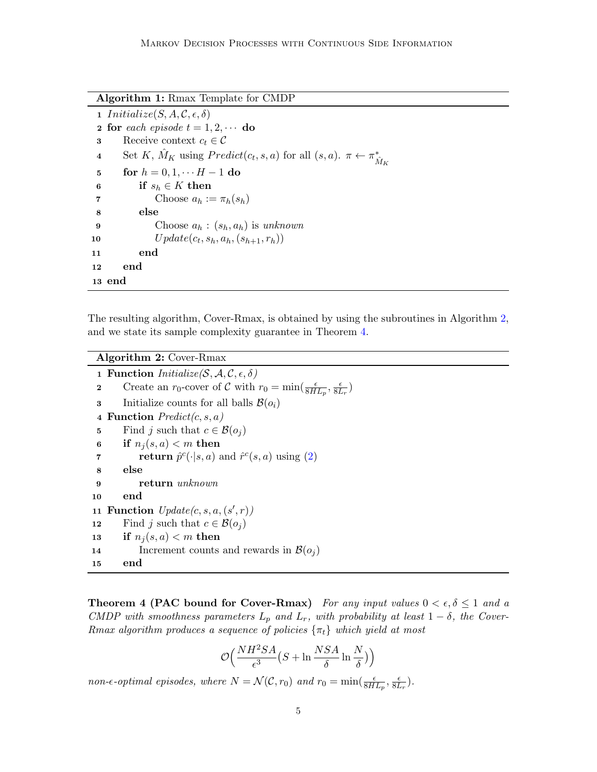Algorithm 1: Rmax Template for CMDP

<span id="page-4-0"></span>1 Initialize(S, A, C,  $\epsilon$ ,  $\delta$ ) 2 for each episode  $t = 1, 2, \cdots$  do 3 Receive context  $c_t \in \mathcal{C}$ 4 Set K,  $\hat{M}_K$  using  $Predict(c_t, s, a)$  for all  $(s, a)$ .  $\pi \leftarrow \pi^*_{\hat{M}_K}$ 5 for  $h = 0, 1, \cdots H - 1$  do 6 if  $s_h \in K$  then 7 Choose  $a_h := \pi_h(s_h)$ 8 else 9 Choose  $a_h : (s_h, a_h)$  is unknown 10  $Update(c_t, s_h, a_h, (s_{h+1}, r_h))$ 11 end 12 end 13 end

The resulting algorithm, Cover-Rmax, is obtained by using the subroutines in Algorithm [2,](#page-4-1) and we state its sample complexity guarantee in Theorem [4.](#page-4-2)

<span id="page-4-1"></span>Algorithm 2: Cover-Rmax 1 Function  $Initialize(S, \mathcal{A}, \mathcal{C}, \epsilon, \delta)$ 2 Create an  $r_0$ -cover of C with  $r_0 = \min(\frac{\epsilon}{8HL_p}, \frac{\epsilon}{8L_p})$  $\frac{\epsilon}{8L_r}$ 3 Initialize counts for all balls  $\mathcal{B}(o_i)$ 4 Function  $Predict(c, s, a)$ 5 Find j such that  $c \in \mathcal{B}(o_i)$ 6 if  $n_i(s,a) < m$  then **return**  $\hat{p}^c(\cdot|s, a)$  and  $\hat{r}^c(s, a)$  using [\(2\)](#page-3-0) 8 else 9 return unknown 10 end 11 Function  $Update(c, s, a, (s', r))$ 12 Find j such that  $c \in \mathcal{B}(o_i)$ 13 if  $n_i(s, a) < m$  then 14 Increment counts and rewards in  $\mathcal{B}(o_i)$ 15 end

<span id="page-4-2"></span>**Theorem 4 (PAC bound for Cover-Rmax)** For any input values  $0 < \epsilon, \delta \leq 1$  and a CMDP with smoothness parameters  $L_p$  and  $L_r$ , with probability at least  $1 - \delta$ , the Cover-Rmax algorithm produces a sequence of policies  $\{\pi_t\}$  which yield at most

$$
\mathcal{O}\Big(\frac{NH^2SA}{\epsilon^3}\big(S+\ln\frac{NSA}{\delta}\ln\frac{N}{\delta}\big)\Big)
$$

non- $\epsilon$ -optimal episodes, where  $N = \mathcal{N}(\mathcal{C}, r_0)$  and  $r_0 = \min(\frac{\epsilon}{8HL_p}, \frac{\epsilon}{8L_p})$  $\frac{\epsilon}{8L_r}$ ).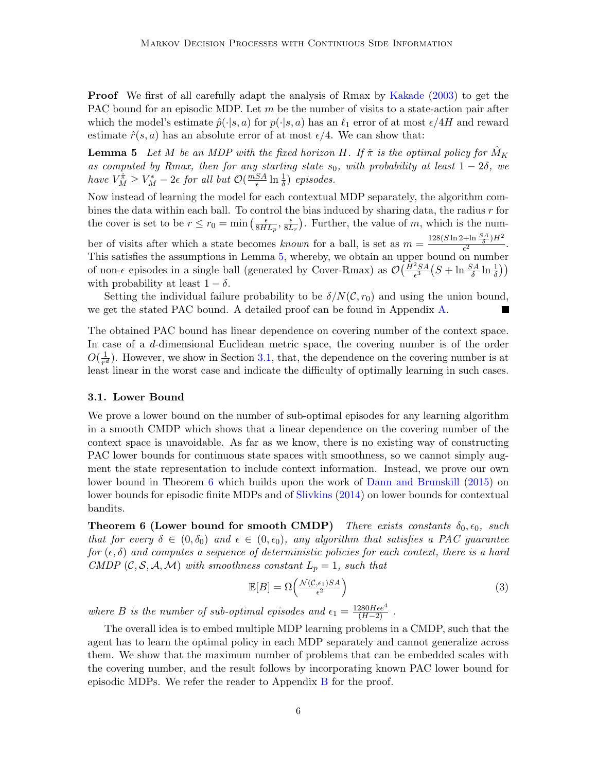Proof We first of all carefully adapt the analysis of Rmax by [Kakade](#page-12-4) [\(2003\)](#page-12-4) to get the PAC bound for an episodic MDP. Let  $m$  be the number of visits to a state-action pair after which the model's estimate  $\hat{p}(\cdot|s, a)$  for  $p(\cdot|s, a)$  has an  $\ell_1$  error of at most  $\epsilon/4H$  and reward estimate  $\hat{r}(s, a)$  has an absolute error of at most  $\epsilon/4$ . We can show that:

<span id="page-5-1"></span>**Lemma 5** Let M be an MDP with the fixed horizon H. If  $\hat{\pi}$  is the optimal policy for  $\hat{M}_K$ as computed by Rmax, then for any starting state  $s_0$ , with probability at least  $1 - 2\delta$ , we have  $V_M^{\hat{\pi}} \geq V_M^* - 2\epsilon$  for all but  $\mathcal{O}(\frac{mSA}{\epsilon})$  $\frac{SA}{\epsilon} \ln \frac{1}{\delta}$  episodes.

Now instead of learning the model for each contextual MDP separately, the algorithm combines the data within each ball. To control the bias induced by sharing data, the radius  $r$  for the cover is set to be  $r \leq r_0 = \min \left( \frac{\epsilon}{8H} \right)$  $\frac{\epsilon}{8HL_p}, \frac{\epsilon}{8L}$  $\frac{\epsilon}{8L_r}$ ). Further, the value of m, which is the num-

ber of visits after which a state becomes known for a ball, is set as  $m = \frac{128(S \ln 2 + \ln \frac{SA}{\delta})H^2}{\epsilon^2}$  $\frac{\tau m \frac{\gamma H}{\delta} \frac{\gamma H}{\mu}}{\epsilon^2}.$ This satisfies the assumptions in Lemma [5,](#page-5-1) whereby, we obtain an upper bound on number of non- $\epsilon$  episodes in a single ball (generated by Cover-Rmax) as  $\mathcal{O}(\frac{\hat{H}^2SA}{\epsilon^3}(S + \ln \frac{SA}{\delta} \ln \frac{1}{\delta}))$ with probability at least  $1 - \delta$ .

Setting the individual failure probability to be  $\delta/N(\mathcal{C}, r_0)$  and using the union bound, we get the stated PAC bound. A detailed proof can be found in Appendix [A.](#page-13-3)

The obtained PAC bound has linear dependence on covering number of the context space. In case of a d-dimensional Euclidean metric space, the covering number is of the order  $O(\frac{1}{n^6})$  $\frac{1}{r^d}$ ). However, we show in Section [3.1,](#page-5-0) that, the dependence on the covering number is at least linear in the worst case and indicate the difficulty of optimally learning in such cases.

## <span id="page-5-0"></span>3.1. Lower Bound

We prove a lower bound on the number of sub-optimal episodes for any learning algorithm in a smooth CMDP which shows that a linear dependence on the covering number of the context space is unavoidable. As far as we know, there is no existing way of constructing PAC lower bounds for continuous state spaces with smoothness, so we cannot simply augment the state representation to include context information. Instead, we prove our own lower bound in Theorem [6](#page-5-2) which builds upon the work of [Dann and Brunskill](#page-12-1) [\(2015\)](#page-12-1) on lower bounds for episodic finite MDPs and of [Slivkins](#page-13-4) [\(2014\)](#page-13-4) on lower bounds for contextual bandits.

<span id="page-5-2"></span>**Theorem 6 (Lower bound for smooth CMDP)** There exists constants  $\delta_0$ ,  $\epsilon_0$ , such that for every  $\delta \in (0, \delta_0)$  and  $\epsilon \in (0, \epsilon_0)$ , any algorithm that satisfies a PAC guarantee for  $(\epsilon, \delta)$  and computes a sequence of deterministic policies for each context, there is a hard CMDP  $(C, S, A, M)$  with smoothness constant  $L_p = 1$ , such that

$$
\mathbb{E}[B] = \Omega\left(\frac{\mathcal{N}(\mathcal{C}, \epsilon_1)SA}{\epsilon^2}\right) \tag{3}
$$

where B is the number of sub-optimal episodes and  $\epsilon_1 = \frac{1280Hee^4}{(H-2)}$ .

The overall idea is to embed multiple MDP learning problems in a CMDP, such that the agent has to learn the optimal policy in each MDP separately and cannot generalize across them. We show that the maximum number of problems that can be embedded scales with the covering number, and the result follows by incorporating known PAC lower bound for episodic MDPs. We refer the reader to Appendix  $\overline{B}$  $\overline{B}$  $\overline{B}$  for the proof.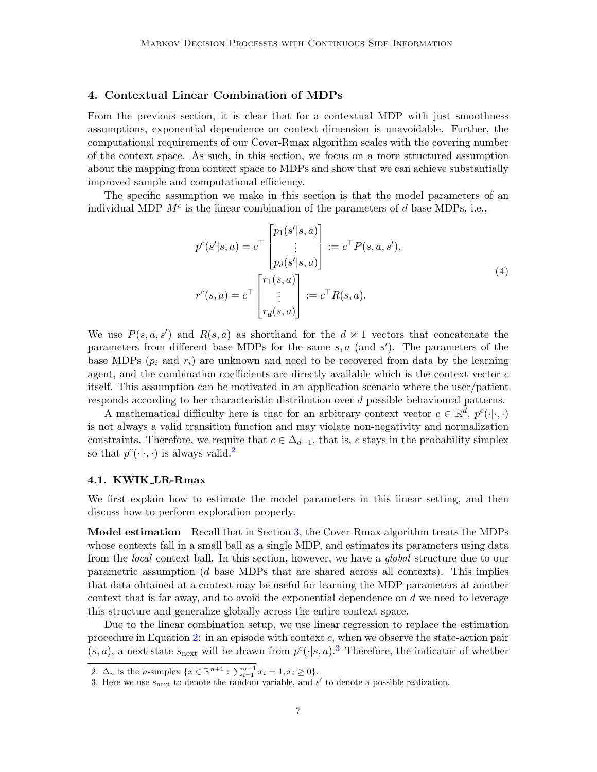# <span id="page-6-0"></span>4. Contextual Linear Combination of MDPs

From the previous section, it is clear that for a contextual MDP with just smoothness assumptions, exponential dependence on context dimension is unavoidable. Further, the computational requirements of our Cover-Rmax algorithm scales with the covering number of the context space. As such, in this section, we focus on a more structured assumption about the mapping from context space to MDPs and show that we can achieve substantially improved sample and computational efficiency.

The specific assumption we make in this section is that the model parameters of an individual MDP  $M<sup>c</sup>$  is the linear combination of the parameters of d base MDPs, i.e.,

$$
p^{c}(s'|s, a) = c^{\top} \begin{bmatrix} p_{1}(s'|s, a) \\ \vdots \\ p_{d}(s'|s, a) \end{bmatrix} := c^{\top} P(s, a, s'),
$$
  

$$
r^{c}(s, a) = c^{\top} \begin{bmatrix} r_{1}(s, a) \\ \vdots \\ r_{d}(s, a) \end{bmatrix} := c^{\top} R(s, a).
$$
  

$$
(4)
$$

We use  $P(s, a, s')$  and  $R(s, a)$  as shorthand for the  $d \times 1$  vectors that concatenate the parameters from different base MDPs for the same  $s, a$  (and  $s'$ ). The parameters of the base MDPs  $(p_i$  and  $r_i)$  are unknown and need to be recovered from data by the learning agent, and the combination coefficients are directly available which is the context vector  $c$ itself. This assumption can be motivated in an application scenario where the user/patient responds according to her characteristic distribution over d possible behavioural patterns.

A mathematical difficulty here is that for an arbitrary context vector  $c \in \mathbb{R}^d$ ,  $p^c(\cdot|\cdot,\cdot)$ is not always a valid transition function and may violate non-negativity and normalization constraints. Therefore, we require that  $c \in \Delta_{d-1}$ , that is, c stays in the probability simplex so that  $p^c(\cdot|\cdot,\cdot)$  is always valid.<sup>[2](#page-6-1)</sup>

#### <span id="page-6-3"></span>4.1. KWIK LR-Rmax

We first explain how to estimate the model parameters in this linear setting, and then discuss how to perform exploration properly.

Model estimation Recall that in Section [3,](#page-2-0) the Cover-Rmax algorithm treats the MDPs whose contexts fall in a small ball as a single MDP, and estimates its parameters using data from the local context ball. In this section, however, we have a global structure due to our parametric assumption (d base MDPs that are shared across all contexts). This implies that data obtained at a context may be useful for learning the MDP parameters at another context that is far away, and to avoid the exponential dependence on  $d$  we need to leverage this structure and generalize globally across the entire context space.

Due to the linear combination setup, we use linear regression to replace the estimation procedure in Equation [2:](#page-3-0) in an episode with context  $c$ , when we observe the state-action pair  $(s, a)$ , a next-state  $s_{\text{next}}$  will be drawn from  $p^c(\cdot | s, a)$ .<sup>[3](#page-6-2)</sup> Therefore, the indicator of whether

<span id="page-6-1"></span><sup>2.</sup>  $\Delta_n$  is the *n*-simplex  $\{x \in \mathbb{R}^{n+1} : \sum_{i=1}^{n+1} x_i = 1, x_i \ge 0\}.$ 

<span id="page-6-2"></span><sup>3.</sup> Here we use  $s_{\text{next}}$  to denote the random variable, and  $s'$  to denote a possible realization.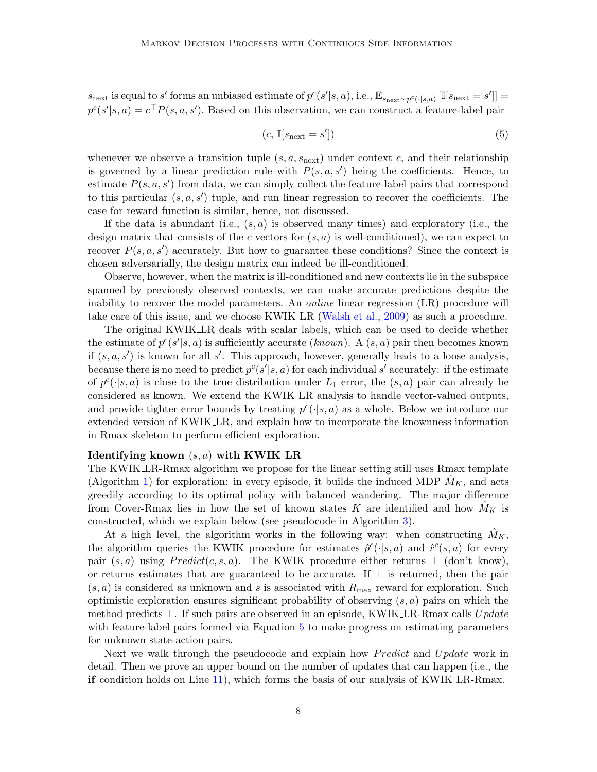$s_{\text{next}}$  is equal to s' forms an unbiased estimate of  $p^{c}(s'|s, a)$ , i.e.,  $\mathbb{E}_{s_{\text{next}} \sim p^{c}(\cdot | s, a)} [\mathbb{I}[s_{\text{next}} = s']] =$  $p^{c}(s'|s, a) = c^{\top} P(s, a, s')$ . Based on this observation, we can construct a feature-label pair

<span id="page-7-0"></span>
$$
(c, \mathbb{I}[s_{\text{next}} = s']) \tag{5}
$$

whenever we observe a transition tuple  $(s, a, s_{\text{next}})$  under context c, and their relationship is governed by a linear prediction rule with  $P(s, a, s')$  being the coefficients. Hence, to estimate  $P(s, a, s')$  from data, we can simply collect the feature-label pairs that correspond to this particular  $(s, a, s')$  tuple, and run linear regression to recover the coefficients. The case for reward function is similar, hence, not discussed.

If the data is abundant (i.e.,  $(s, a)$  is observed many times) and exploratory (i.e., the design matrix that consists of the c vectors for  $(s, a)$  is well-conditioned), we can expect to recover  $P(s, a, s')$  accurately. But how to guarantee these conditions? Since the context is chosen adversarially, the design matrix can indeed be ill-conditioned.

Observe, however, when the matrix is ill-conditioned and new contexts lie in the subspace spanned by previously observed contexts, we can make accurate predictions despite the inability to recover the model parameters. An online linear regression (LR) procedure will take care of this issue, and we choose KWIK LR [\(Walsh et al.,](#page-13-5) [2009\)](#page-13-5) as such a procedure.

The original KWIK LR deals with scalar labels, which can be used to decide whether the estimate of  $p^{c}(s'|s, a)$  is sufficiently accurate (known). A  $(s, a)$  pair then becomes known if  $(s, a, s')$  is known for all s'. This approach, however, generally leads to a loose analysis, because there is no need to predict  $p^{c}(s'|s, a)$  for each individual s' accurately: if the estimate of  $p^c(\cdot|s, a)$  is close to the true distribution under  $L_1$  error, the  $(s, a)$  pair can already be considered as known. We extend the KWIK LR analysis to handle vector-valued outputs, and provide tighter error bounds by treating  $p^c(\cdot|s, a)$  as a whole. Below we introduce our extended version of KWIK LR, and explain how to incorporate the knownness information in Rmax skeleton to perform efficient exploration.

#### Identifying known  $(s, a)$  with KWIK LR

The KWIK LR-Rmax algorithm we propose for the linear setting still uses Rmax template (Algorithm [1\)](#page-4-0) for exploration: in every episode, it builds the induced MDP  $M_K$ , and acts greedily according to its optimal policy with balanced wandering. The major difference from Cover-Rmax lies in how the set of known states K are identified and how  $M_K$  is constructed, which we explain below (see pseudocode in Algorithm [3\)](#page-9-0).

At a high level, the algorithm works in the following way: when constructing  $\hat{M}_K$ , the algorithm queries the KWIK procedure for estimates  $\hat{p}^c(\cdot|s,a)$  and  $\hat{r}^c(s,a)$  for every pair  $(s, a)$  using  $Predict(c, s, a)$ . The KWIK procedure either returns  $\perp$  (don't know), or returns estimates that are guaranteed to be accurate. If  $\perp$  is returned, then the pair  $(s, a)$  is considered as unknown and s is associated with  $R_{\text{max}}$  reward for exploration. Such optimistic exploration ensures significant probability of observing  $(s, a)$  pairs on which the method predicts  $\perp$ . If such pairs are observed in an episode, KWIK LR-Rmax calls  $Update$ with feature-label pairs formed via Equation [5](#page-7-0) to make progress on estimating parameters for unknown state-action pairs.

Next we walk through the pseudocode and explain how *Predict* and Update work in detail. Then we prove an upper bound on the number of updates that can happen (i.e., the if condition holds on Line [11\)](#page-9-1), which forms the basis of our analysis of KWIK LR-Rmax.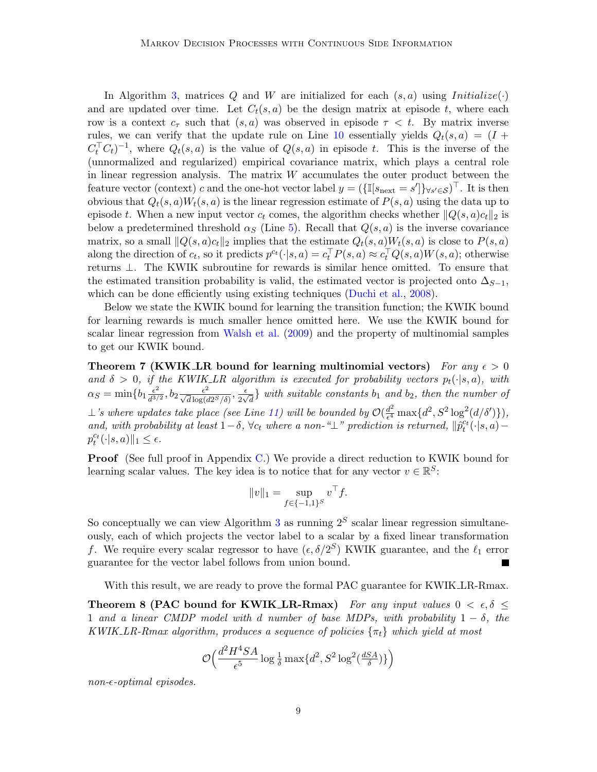In Algorithm [3,](#page-9-0) matrices Q and W are initialized for each  $(s, a)$  using  $Initialize(\cdot)$ and are updated over time. Let  $C_t(s, a)$  be the design matrix at episode t, where each row is a context  $c_{\tau}$  such that  $(s, a)$  was observed in episode  $\tau < t$ . By matrix inverse rules, we can verify that the update rule on Line [10](#page-9-2) essentially yields  $Q_t(s, a) = (I +$  $C_t^{\top} C_t^{-1}$ , where  $Q_t(s, a)$  is the value of  $Q(s, a)$  in episode t. This is the inverse of the (unnormalized and regularized) empirical covariance matrix, which plays a central role in linear regression analysis. The matrix  $W$  accumulates the outer product between the feature vector (context) c and the one-hot vector label  $y = (\{\mathbb{I}[s_{\text{next}} = s']\}_{\forall s' \in \mathcal{S}})^\top$ . It is then obvious that  $Q_t(s, a)W_t(s, a)$  is the linear regression estimate of  $P(s, a)$  using the data up to episode t. When a new input vector  $c_t$  comes, the algorithm checks whether  $||Q(s, a)c_t||_2$  is below a predetermined threshold  $\alpha_S$  (Line [5\)](#page-9-3). Recall that  $Q(s, a)$  is the inverse covariance matrix, so a small  $||Q(s, a)c_t||_2$  implies that the estimate  $Q_t(s, a)W_t(s, a)$  is close to  $P(s, a)$ along the direction of  $c_t$ , so it predicts  $p^{ct}(\cdot|s, a) = c_t^{\top} P(s, a) \approx c_t^{\top} Q(s, a) W(s, a)$ ; otherwise returns ⊥. The KWIK subroutine for rewards is similar hence omitted. To ensure that the estimated transition probability is valid, the estimated vector is projected onto  $\Delta_{S-1}$ , which can be done efficiently using existing techniques [\(Duchi et al.,](#page-12-5) [2008\)](#page-12-5).

Below we state the KWIK bound for learning the transition function; the KWIK bound for learning rewards is much smaller hence omitted here. We use the KWIK bound for scalar linear regression from [Walsh et al.](#page-13-5) [\(2009\)](#page-13-5) and the property of multinomial samples to get our KWIK bound.

<span id="page-8-0"></span>Theorem 7 (KWIK LR bound for learning multinomial vectors) For any  $\epsilon > 0$ and  $\delta > 0$ , if the KWIK\_LR algorithm is executed for probability vectors  $p_t(\cdot|s, a)$ , with  $\alpha_S = \min\{b_1 \frac{\epsilon^2}{d^3} \}$  $\frac{\epsilon^2}{d^{3/2}}, b_2 \frac{\epsilon^2}{\sqrt{d} \log(d2^S/\delta)}, \frac{\epsilon}{2\sqrt{d}}$  $\frac{\epsilon}{2\sqrt{d}}$  with suitable constants  $b_1$  and  $b_2$ , then the number of ⊥'s where updates take place (see Line [11\)](#page-9-1) will be bounded by  $\mathcal{O}(\frac{d^2}{\epsilon^4})$  $\frac{d^2}{\epsilon^4} \max\{d^2, S^2 \log^2(d/\delta')\}\right),$ and, with probability at least  $1-\delta$ ,  $\forall c_t$  where a non-" $\perp$ " prediction is returned,  $\|\hat{p}_t^{c_t}(\cdot|s,a)$  $p_t^{c_t}(\cdot|s,a)\|_1 \leq \epsilon.$ 

**Proof** (See full proof in Appendix [C.](#page-19-0)) We provide a direct reduction to KWIK bound for learning scalar values. The key idea is to notice that for any vector  $v \in \mathbb{R}^S$ :

<span id="page-8-1"></span>
$$
||v||_1 = \sup_{f \in \{-1,1\}^S} v^\top f.
$$

So conceptually we can view Algorithm [3](#page-9-0) as running  $2<sup>S</sup>$  scalar linear regression simultaneously, each of which projects the vector label to a scalar by a fixed linear transformation f. We require every scalar regressor to have  $(\epsilon, \delta/2^S)$  KWIK guarantee, and the  $\ell_1$  error guarantee for the vector label follows from union bound.

With this result, we are ready to prove the formal PAC guarantee for KWIK LR-Rmax.

Theorem 8 (PAC bound for KWIK LR-Rmax) For any input values  $0 < \epsilon, \delta \leq$ 1 and a linear CMDP model with d number of base MDPs, with probability  $1 - \delta$ , the KWIK LR-Rmax algorithm, produces a sequence of policies  $\{\pi_t\}$  which yield at most

$$
\mathcal{O}\Big(\frac{d^2H^4SA}{\epsilon^5}\log\frac{1}{\delta}\max\{d^2,S^2\log^2(\frac{dSA}{\delta})\}\Big)
$$

 $non-*optimal* episodes.$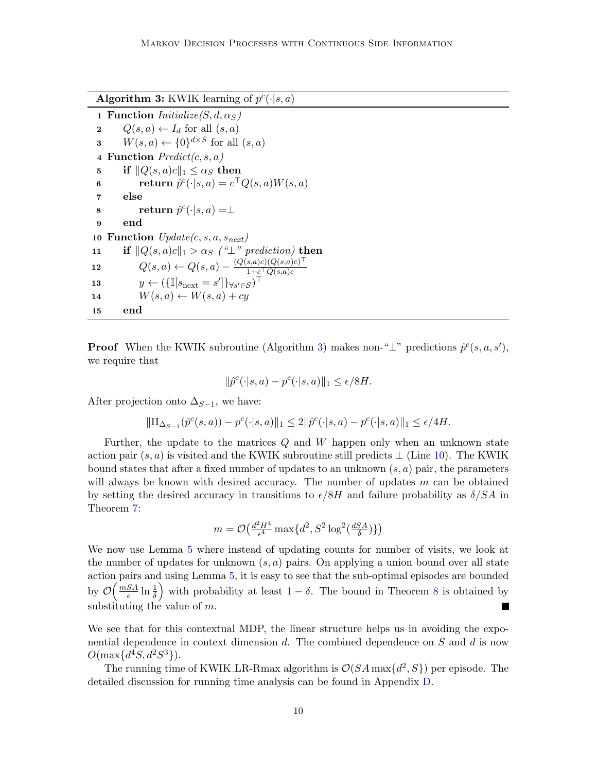Algorithm 3: KWIK learning of  $p^c(\cdot|s, a)$ 

<span id="page-9-4"></span><span id="page-9-3"></span><span id="page-9-0"></span>1 Function  $Initialize(S, d, \alpha_S)$ 2  $Q(s, a) \leftarrow I_d$  for all  $(s, a)$ **3**  $W(s, a) \leftarrow \{0\}^{d \times S}$  for all  $(s, a)$ 4 Function  $Predict(c, s, a)$ 5 if  $||Q(s, a)c||_1 \leq \alpha_S$  then 6 return  $\hat{p}^c(\cdot|s,a) = c^\top Q(s,a)W(s,a)$ 7 else 8 return  $\hat{p}^c(\cdot|s,a) = \perp$ 9 end 10 Function  $Update(c, s, a, s_{next})$ 11 if  $||Q(s, a)c||_1 > \alpha_s$  ("⊥" prediction) then 12  $Q(s, a) \leftarrow Q(s, a) - \frac{(Q(s, a)c)(Q(s, a)c)^{\top}}{1 + c^{\top}Q(s, a)c}$  $1+c^\top Q(s,a)c$ 13  $y \leftarrow (\{\mathbb{I}[s_{\text{next}}=s']\}_{\forall s' \in \mathcal{S}})^\top$ 14  $W(s, a) \leftarrow W(s, a) + c y$ 15 end

<span id="page-9-6"></span><span id="page-9-5"></span><span id="page-9-2"></span><span id="page-9-1"></span>**Proof** When the KWIK subroutine (Algorithm [3\)](#page-9-0) makes non-" $\perp$ " predictions  $\hat{p}^c(s, a, s')$ , we require that

$$
\|\hat{p}^c(\cdot|s,a) - p^c(\cdot|s,a)\|_1 \le \epsilon/8H.
$$

After projection onto  $\Delta_{S-1}$ , we have:

$$
\|\Pi_{\Delta_{S-1}}(\hat{p}^c(s,a)) - p^c(\cdot|s,a)\|_1 \le 2\|\hat{p}^c(\cdot|s,a) - p^c(\cdot|s,a)\|_1 \le \epsilon/4H.
$$

Further, the update to the matrices  $Q$  and  $W$  happen only when an unknown state action pair  $(s, a)$  is visited and the KWIK subroutine still predicts  $\perp$  (Line [10\)](#page-9-2). The KWIK bound states that after a fixed number of updates to an unknown  $(s, a)$  pair, the parameters will always be known with desired accuracy. The number of updates  $m$  can be obtained by setting the desired accuracy in transitions to  $\epsilon/8H$  and failure probability as  $\delta/SA$  in Theorem [7:](#page-8-0)

$$
m = \mathcal{O}\big(\tfrac{d^2H^4}{\epsilon^4}\max\{d^2,S^2\log^2(\tfrac{dSA}{\delta})\}\big)
$$

We now use Lemma [5](#page-5-1) where instead of updating counts for number of visits, we look at the number of updates for unknown  $(s, a)$  pairs. On applying a union bound over all state action pairs and using Lemma [5,](#page-5-1) it is easy to see that the sub-optimal episodes are bounded by  $\mathcal{O}\left(\frac{mSA}{\epsilon}\right)$  $\left(\frac{SA}{\epsilon}\right)$  in  $\frac{1}{\delta}$  with probability at least  $1-\delta$ . The bound in Theorem [8](#page-8-1) is obtained by substituting the value of  $m$ .

We see that for this contextual MDP, the linear structure helps us in avoiding the exponential dependence in context dimension  $d$ . The combined dependence on  $S$  and  $d$  is now  $O(\max\{d^4S, d^2S^3\}).$ 

The running time of KWIK LR-Rmax algorithm is  $\mathcal{O}(SA\max\{d^2, S\})$  per episode. The detailed discussion for running time analysis can be found in Appendix [D.](#page-21-1)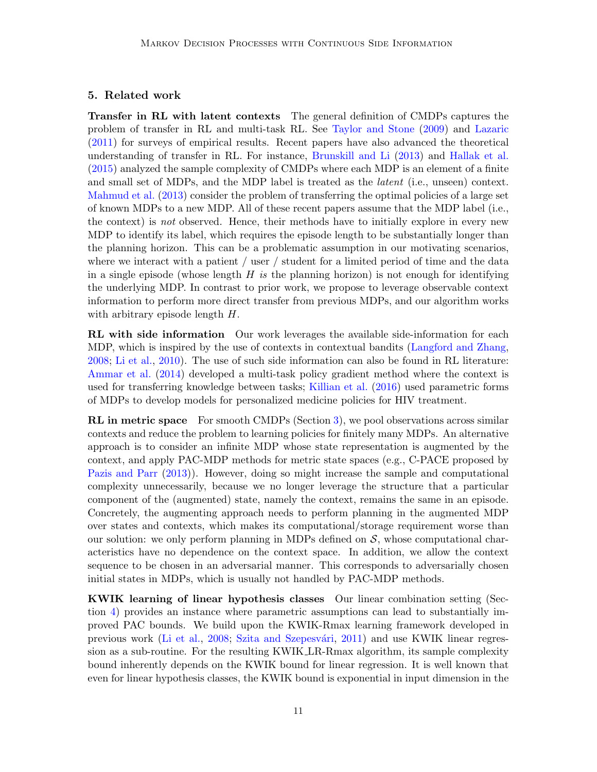# <span id="page-10-0"></span>5. Related work

Transfer in RL with latent contexts The general definition of CMDPs captures the problem of transfer in RL and multi-task RL. See [Taylor and Stone](#page-13-6) [\(2009\)](#page-13-6) and [Lazaric](#page-12-6) [\(2011\)](#page-12-6) for surveys of empirical results. Recent papers have also advanced the theoretical understanding of transfer in RL. For instance, [Brunskill and Li](#page-12-7) [\(2013\)](#page-12-7) and [Hallak et al.](#page-12-0) [\(2015\)](#page-12-0) analyzed the sample complexity of CMDPs where each MDP is an element of a finite and small set of MDPs, and the MDP label is treated as the latent (i.e., unseen) context. [Mahmud et al.](#page-13-7) [\(2013\)](#page-13-7) consider the problem of transferring the optimal policies of a large set of known MDPs to a new MDP. All of these recent papers assume that the MDP label (i.e., the context) is not observed. Hence, their methods have to initially explore in every new MDP to identify its label, which requires the episode length to be substantially longer than the planning horizon. This can be a problematic assumption in our motivating scenarios, where we interact with a patient / user / student for a limited period of time and the data in a single episode (whose length  $H$  is the planning horizon) is not enough for identifying the underlying MDP. In contrast to prior work, we propose to leverage observable context information to perform more direct transfer from previous MDPs, and our algorithm works with arbitrary episode length  $H$ .

RL with side information Our work leverages the available side-information for each MDP, which is inspired by the use of contexts in contextual bandits [\(Langford and Zhang,](#page-12-8) [2008;](#page-12-8) [Li et al.,](#page-12-9) [2010\)](#page-12-9). The use of such side information can also be found in RL literature: [Ammar et al.](#page-11-0) [\(2014\)](#page-11-0) developed a multi-task policy gradient method where the context is used for transferring knowledge between tasks; [Killian et al.](#page-12-10) [\(2016\)](#page-12-10) used parametric forms of MDPs to develop models for personalized medicine policies for HIV treatment.

**RL** in metric space For smooth CMDPs (Section [3\)](#page-2-0), we pool observations across similar contexts and reduce the problem to learning policies for finitely many MDPs. An alternative approach is to consider an infinite MDP whose state representation is augmented by the context, and apply PAC-MDP methods for metric state spaces (e.g., C-PACE proposed by [Pazis and Parr](#page-13-8) [\(2013\)](#page-13-8)). However, doing so might increase the sample and computational complexity unnecessarily, because we no longer leverage the structure that a particular component of the (augmented) state, namely the context, remains the same in an episode. Concretely, the augmenting approach needs to perform planning in the augmented MDP over states and contexts, which makes its computational/storage requirement worse than our solution: we only perform planning in MDPs defined on  $S$ , whose computational characteristics have no dependence on the context space. In addition, we allow the context sequence to be chosen in an adversarial manner. This corresponds to adversarially chosen initial states in MDPs, which is usually not handled by PAC-MDP methods.

KWIK learning of linear hypothesis classes Our linear combination setting (Section [4\)](#page-6-0) provides an instance where parametric assumptions can lead to substantially improved PAC bounds. We build upon the KWIK-Rmax learning framework developed in previous work [\(Li et al.,](#page-12-11) [2008;](#page-12-11) Szita and Szepesvári, [2011\)](#page-13-9) and use KWIK linear regression as a sub-routine. For the resulting KWIK LR-Rmax algorithm, its sample complexity bound inherently depends on the KWIK bound for linear regression. It is well known that even for linear hypothesis classes, the KWIK bound is exponential in input dimension in the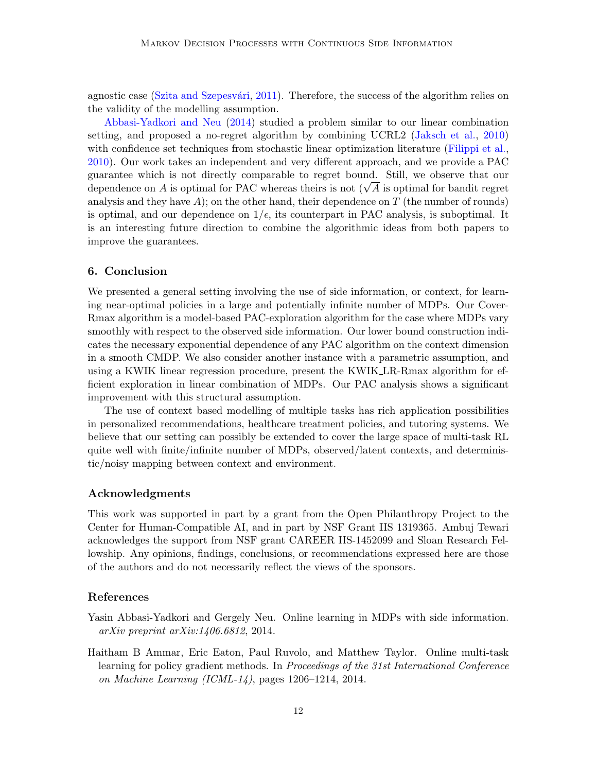agnostic case (Szita and Szepesvári, [2011\)](#page-13-9). Therefore, the success of the algorithm relies on the validity of the modelling assumption.

[Abbasi-Yadkori and Neu](#page-11-1) [\(2014\)](#page-11-1) studied a problem similar to our linear combination setting, and proposed a no-regret algorithm by combining UCRL2 [\(Jaksch et al.,](#page-12-12) [2010\)](#page-12-12) with confidence set techniques from stochastic linear optimization literature [\(Filippi et al.,](#page-12-13) [2010\)](#page-12-13). Our work takes an independent and very different approach, and we provide a PAC guarantee which is not directly comparable to regret bound. Still, we observe that our guarantee which is not directly comparable to regret bound. Still, we observe that our dependence on A is optimal for PAC whereas theirs is not  $(\sqrt{A})$  is optimal for bandit regret analysis and they have  $A$ ); on the other hand, their dependence on  $T$  (the number of rounds) is optimal, and our dependence on  $1/\epsilon$ , its counterpart in PAC analysis, is suboptimal. It is an interesting future direction to combine the algorithmic ideas from both papers to improve the guarantees.

# 6. Conclusion

We presented a general setting involving the use of side information, or context, for learning near-optimal policies in a large and potentially infinite number of MDPs. Our Cover-Rmax algorithm is a model-based PAC-exploration algorithm for the case where MDPs vary smoothly with respect to the observed side information. Our lower bound construction indicates the necessary exponential dependence of any PAC algorithm on the context dimension in a smooth CMDP. We also consider another instance with a parametric assumption, and using a KWIK linear regression procedure, present the KWIK LR-Rmax algorithm for efficient exploration in linear combination of MDPs. Our PAC analysis shows a significant improvement with this structural assumption.

The use of context based modelling of multiple tasks has rich application possibilities in personalized recommendations, healthcare treatment policies, and tutoring systems. We believe that our setting can possibly be extended to cover the large space of multi-task RL quite well with finite/infinite number of MDPs, observed/latent contexts, and deterministic/noisy mapping between context and environment.

### Acknowledgments

This work was supported in part by a grant from the Open Philanthropy Project to the Center for Human-Compatible AI, and in part by NSF Grant IIS 1319365. Ambuj Tewari acknowledges the support from NSF grant CAREER IIS-1452099 and Sloan Research Fellowship. Any opinions, findings, conclusions, or recommendations expressed here are those of the authors and do not necessarily reflect the views of the sponsors.

# References

- <span id="page-11-1"></span>Yasin Abbasi-Yadkori and Gergely Neu. Online learning in MDPs with side information. arXiv preprint arXiv:1406.6812, 2014.
- <span id="page-11-0"></span>Haitham B Ammar, Eric Eaton, Paul Ruvolo, and Matthew Taylor. Online multi-task learning for policy gradient methods. In Proceedings of the 31st International Conference on Machine Learning (ICML-14), pages 1206–1214, 2014.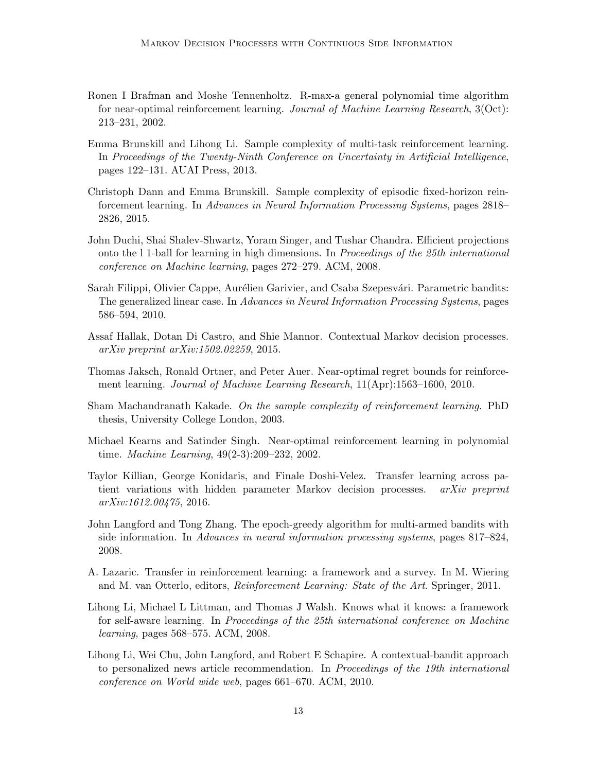- <span id="page-12-2"></span>Ronen I Brafman and Moshe Tennenholtz. R-max-a general polynomial time algorithm for near-optimal reinforcement learning. Journal of Machine Learning Research, 3(Oct): 213–231, 2002.
- <span id="page-12-7"></span>Emma Brunskill and Lihong Li. Sample complexity of multi-task reinforcement learning. In Proceedings of the Twenty-Ninth Conference on Uncertainty in Artificial Intelligence, pages 122–131. AUAI Press, 2013.
- <span id="page-12-1"></span>Christoph Dann and Emma Brunskill. Sample complexity of episodic fixed-horizon reinforcement learning. In Advances in Neural Information Processing Systems, pages 2818– 2826, 2015.
- <span id="page-12-5"></span>John Duchi, Shai Shalev-Shwartz, Yoram Singer, and Tushar Chandra. Efficient projections onto the l 1-ball for learning in high dimensions. In Proceedings of the 25th international conference on Machine learning, pages 272–279. ACM, 2008.
- <span id="page-12-13"></span>Sarah Filippi, Olivier Cappe, Aurélien Garivier, and Csaba Szepesvári. Parametric bandits: The generalized linear case. In Advances in Neural Information Processing Systems, pages 586–594, 2010.
- <span id="page-12-0"></span>Assaf Hallak, Dotan Di Castro, and Shie Mannor. Contextual Markov decision processes. arXiv preprint arXiv:1502.02259, 2015.
- <span id="page-12-12"></span>Thomas Jaksch, Ronald Ortner, and Peter Auer. Near-optimal regret bounds for reinforcement learning. Journal of Machine Learning Research, 11(Apr):1563–1600, 2010.
- <span id="page-12-4"></span>Sham Machandranath Kakade. On the sample complexity of reinforcement learning. PhD thesis, University College London, 2003.
- <span id="page-12-3"></span>Michael Kearns and Satinder Singh. Near-optimal reinforcement learning in polynomial time. Machine Learning, 49(2-3):209–232, 2002.
- <span id="page-12-10"></span>Taylor Killian, George Konidaris, and Finale Doshi-Velez. Transfer learning across patient variations with hidden parameter Markov decision processes. *arXiv preprint* arXiv:1612.00475, 2016.
- <span id="page-12-8"></span>John Langford and Tong Zhang. The epoch-greedy algorithm for multi-armed bandits with side information. In Advances in neural information processing systems, pages 817–824, 2008.
- <span id="page-12-6"></span>A. Lazaric. Transfer in reinforcement learning: a framework and a survey. In M. Wiering and M. van Otterlo, editors, Reinforcement Learning: State of the Art. Springer, 2011.
- <span id="page-12-11"></span>Lihong Li, Michael L Littman, and Thomas J Walsh. Knows what it knows: a framework for self-aware learning. In Proceedings of the 25th international conference on Machine learning, pages 568–575. ACM, 2008.
- <span id="page-12-9"></span>Lihong Li, Wei Chu, John Langford, and Robert E Schapire. A contextual-bandit approach to personalized news article recommendation. In Proceedings of the 19th international conference on World wide web, pages 661–670. ACM, 2010.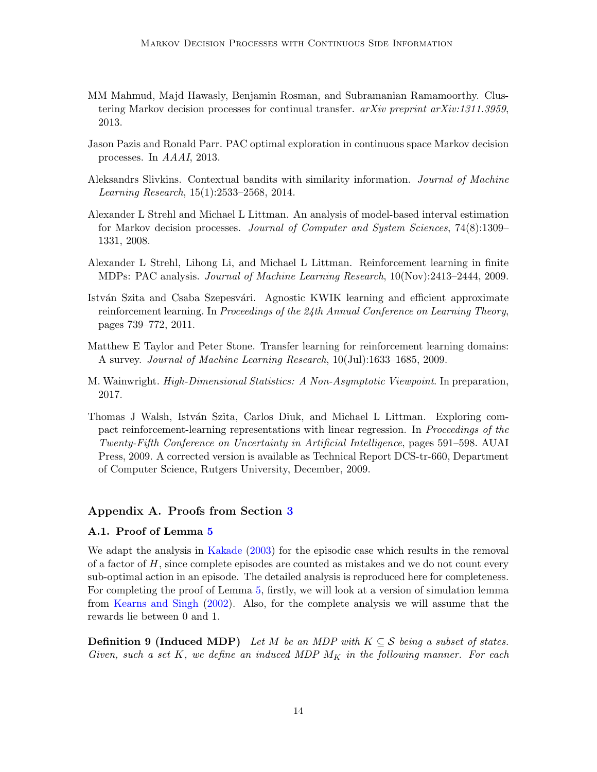- <span id="page-13-7"></span>MM Mahmud, Majd Hawasly, Benjamin Rosman, and Subramanian Ramamoorthy. Clustering Markov decision processes for continual transfer. arXiv preprint arXiv:1311.3959, 2013.
- <span id="page-13-8"></span>Jason Pazis and Ronald Parr. PAC optimal exploration in continuous space Markov decision processes. In AAAI, 2013.
- <span id="page-13-4"></span>Aleksandrs Slivkins. Contextual bandits with similarity information. Journal of Machine Learning Research, 15(1):2533–2568, 2014.
- <span id="page-13-0"></span>Alexander L Strehl and Michael L Littman. An analysis of model-based interval estimation for Markov decision processes. Journal of Computer and System Sciences, 74(8):1309– 1331, 2008.
- <span id="page-13-1"></span>Alexander L Strehl, Lihong Li, and Michael L Littman. Reinforcement learning in finite MDPs: PAC analysis. Journal of Machine Learning Research, 10(Nov):2413–2444, 2009.
- <span id="page-13-9"></span>István Szita and Csaba Szepesvári. Agnostic KWIK learning and efficient approximate reinforcement learning. In Proceedings of the 24th Annual Conference on Learning Theory, pages 739–772, 2011.
- <span id="page-13-6"></span>Matthew E Taylor and Peter Stone. Transfer learning for reinforcement learning domains: A survey. Journal of Machine Learning Research, 10(Jul):1633–1685, 2009.
- <span id="page-13-2"></span>M. Wainwright. High-Dimensional Statistics: A Non-Asymptotic Viewpoint. In preparation, 2017.
- <span id="page-13-5"></span>Thomas J Walsh, István Szita, Carlos Diuk, and Michael L Littman. Exploring compact reinforcement-learning representations with linear regression. In Proceedings of the Twenty-Fifth Conference on Uncertainty in Artificial Intelligence, pages 591–598. AUAI Press, 2009. A corrected version is available as Technical Report DCS-tr-660, Department of Computer Science, Rutgers University, December, 2009.

# <span id="page-13-3"></span>Appendix A. Proofs from Section [3](#page-2-0)

### A.1. Proof of Lemma [5](#page-5-1)

We adapt the analysis in [Kakade](#page-12-4) [\(2003\)](#page-12-4) for the episodic case which results in the removal of a factor of  $H$ , since complete episodes are counted as mistakes and we do not count every sub-optimal action in an episode. The detailed analysis is reproduced here for completeness. For completing the proof of Lemma [5,](#page-5-1) firstly, we will look at a version of simulation lemma from [Kearns and Singh](#page-12-3) [\(2002\)](#page-12-3). Also, for the complete analysis we will assume that the rewards lie between 0 and 1.

<span id="page-13-10"></span>**Definition 9 (Induced MDP)** Let M be an MDP with  $K \subseteq S$  being a subset of states. Given, such a set K, we define an induced MDP  $M_K$  in the following manner. For each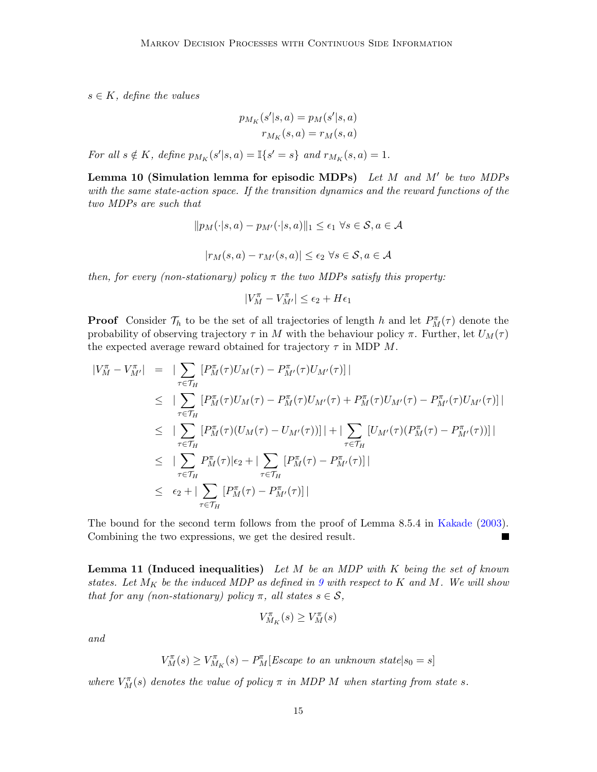$s \in K$ , define the values

$$
p_{M_K}(s'|s, a) = p_M(s'|s, a)
$$

$$
r_{M_K}(s, a) = r_M(s, a)
$$

For all  $s \notin K$ , define  $p_{M_K}(s'|s, a) = \mathbb{I}\lbrace s' = s \rbrace$  and  $r_{M_K}(s, a) = 1$ .

<span id="page-14-0"></span>Lemma 10 (Simulation lemma for episodic MDPs) Let M and M' be two MDPs with the same state-action space. If the transition dynamics and the reward functions of the two MDPs are such that

$$
||p_M(\cdot|s,a) - p_{M'}(\cdot|s,a)||_1 \le \epsilon_1 \,\,\forall s \in \mathcal{S}, a \in \mathcal{A}
$$

$$
|r_M(s, a) - r_{M'}(s, a)| \le \epsilon_2 \,\,\forall s \in \mathcal{S}, a \in \mathcal{A}
$$

then, for every (non-stationary) policy  $\pi$  the two MDPs satisfy this property:

$$
|V_M^{\pi} - V_{M'}^{\pi}| \le \epsilon_2 + H \epsilon_1
$$

**Proof** Consider  $\mathcal{T}_h$  to be the set of all trajectories of length h and let  $P_M^{\pi}(\tau)$  denote the probability of observing trajectory  $\tau$  in M with the behaviour policy  $\pi$ . Further, let  $U_M(\tau)$ the expected average reward obtained for trajectory  $\tau$  in MDP M.

$$
\begin{array}{rcl}\n|V_M^{\pi} - V_{M'}^{\pi}| & = & \left| \sum_{\tau \in \mathcal{T}_H} \left[ P_M^{\pi}(\tau) U_M(\tau) - P_M^{\pi}(\tau) U_{M'}(\tau) \right] \right| \\
& \leq & \left| \sum_{\tau \in \mathcal{T}_H} \left[ P_M^{\pi}(\tau) U_M(\tau) - P_M^{\pi}(\tau) U_{M'}(\tau) + P_M^{\pi}(\tau) U_{M'}(\tau) - P_{M'}^{\pi}(\tau) U_{M'}(\tau) \right] \right| \\
& \leq & \left| \sum_{\tau \in \mathcal{T}_H} \left[ P_M^{\pi}(\tau) (U_M(\tau) - U_{M'}(\tau)) \right] \right| + \left| \sum_{\tau \in \mathcal{T}_H} \left[ U_{M'}(\tau) (P_M^{\pi}(\tau) - P_{M'}^{\pi}(\tau)) \right] \right| \\
& \leq & \left| \sum_{\tau \in \mathcal{T}_H} P_M^{\pi}(\tau) \right| \epsilon_2 + \left| \sum_{\tau \in \mathcal{T}_H} \left[ P_M^{\pi}(\tau) - P_{M'}^{\pi}(\tau) \right] \right| \\
& \leq & \epsilon_2 + \left| \sum_{\tau \in \mathcal{T}_H} \left[ P_M^{\pi}(\tau) - P_{M'}^{\pi}(\tau) \right] \right|\n\end{array}
$$

The bound for the second term follows from the proof of Lemma 8.5.4 in [Kakade](#page-12-4) [\(2003\)](#page-12-4). Combining the two expressions, we get the desired result. **The Second Second** 

<span id="page-14-1"></span>**Lemma 11 (Induced inequalities)** Let  $M$  be an MDP with  $K$  being the set of known states. Let  $M_K$  be the induced MDP as defined in [9](#page-13-10) with respect to K and M. We will show that for any (non-stationary) policy  $\pi$ , all states  $s \in \mathcal{S}$ ,

$$
V^{\pi}_{M_K}(s) \geq V^{\pi}_M(s)
$$

and

$$
V_M^{\pi}(s) \ge V_{M_K}^{\pi}(s) - P_M^{\pi}[Escape\ to\ an\ unknown\ state | s_0 = s]
$$

where  $V_M^{\pi}(s)$  denotes the value of policy  $\pi$  in MDP M when starting from state s.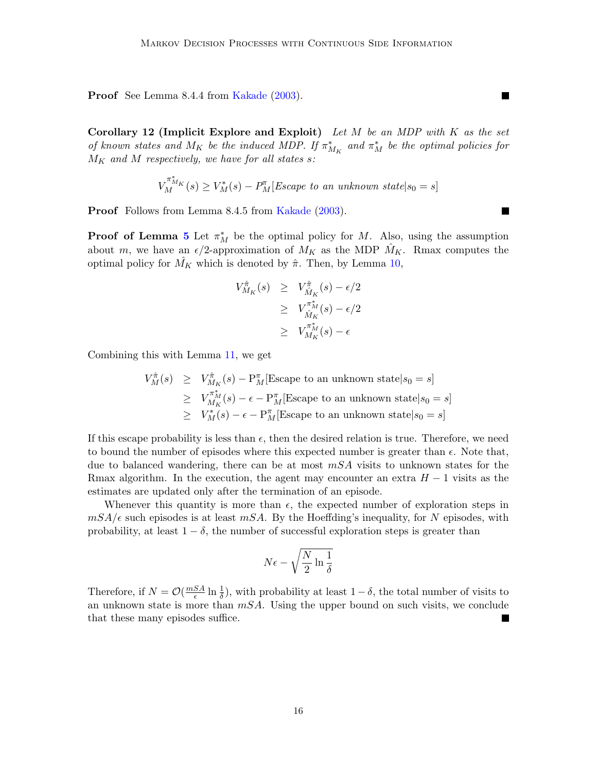Proof See Lemma 8.4.4 from [Kakade](#page-12-4) [\(2003\)](#page-12-4).

Corollary 12 (Implicit Explore and Exploit) Let M be an MDP with K as the set of known states and  $M_K$  be the induced MDP. If  $\pi^*_{M_K}$  and  $\pi^*_M$  be the optimal policies for  $M_K$  and M respectively, we have for all states s:

$$
V_M^{\pi_M^*}(s) \ge V_M^*(s) - P_M^{\pi}[E \text{scale to an unknown state} | s_0 = s]
$$

Proof Follows from Lemma 8.4.5 from [Kakade](#page-12-4) [\(2003\)](#page-12-4).

**Proof of Lemma [5](#page-5-1)** Let  $\pi_M^*$  be the optimal policy for M. Also, using the assumption about m, we have an  $\epsilon/2$ -approximation of  $M_K$  as the MDP  $M_K$ . Rmax computes the optimal policy for  $M_K$  which is denoted by  $\hat{\pi}$ . Then, by Lemma [10,](#page-14-0)

$$
V_{M_K}^{\hat{\pi}}(s) \geq V_{\hat{M}_K}^{\hat{\pi}}(s) - \epsilon/2
$$
  
\n
$$
\geq V_{\hat{M}_K}^{\pi_M^*}(s) - \epsilon/2
$$
  
\n
$$
\geq V_{M_K}^{\pi_M^*}(s) - \epsilon
$$

Combining this with Lemma [11,](#page-14-1) we get

$$
V_M^{\hat{\pi}}(s) \geq V_{M_K}^{\hat{\pi}}(s) - \mathbf{P}_M^{\pi}[\text{Escape to an unknown state}|s_0 = s]
$$
  
\n
$$
\geq V_{M_K}^{\pi_M^*}(s) - \epsilon - \mathbf{P}_M^{\pi}[\text{Escape to an unknown state}|s_0 = s]
$$
  
\n
$$
\geq V_M^*(s) - \epsilon - \mathbf{P}_M^{\pi}[\text{Escape to an unknown state}|s_0 = s]
$$

If this escape probability is less than  $\epsilon$ , then the desired relation is true. Therefore, we need to bound the number of episodes where this expected number is greater than  $\epsilon$ . Note that, due to balanced wandering, there can be at most  $mSA$  visits to unknown states for the Rmax algorithm. In the execution, the agent may encounter an extra  $H-1$  visits as the estimates are updated only after the termination of an episode.

Whenever this quantity is more than  $\epsilon$ , the expected number of exploration steps in  $mSA/\epsilon$  such episodes is at least  $mSA$ . By the Hoeffding's inequality, for N episodes, with probability, at least  $1 - \delta$ , the number of successful exploration steps is greater than

$$
N\epsilon-\sqrt{\frac{N}{2}\ln{\frac{1}{\delta}}}
$$

Therefore, if  $N = \mathcal{O}(\frac{mSA}{\epsilon})$  $\frac{SA}{\epsilon} \ln \frac{1}{\delta}$ , with probability at least  $1 - \delta$ , the total number of visits to an unknown state is more than  $mSA$ . Using the upper bound on such visits, we conclude that these many episodes suffice.

 $\blacksquare$ 

П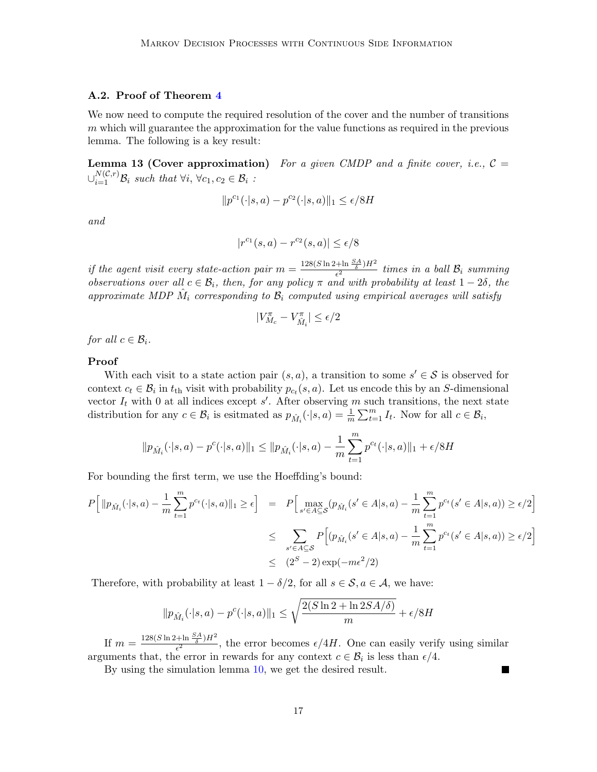## A.2. Proof of Theorem [4](#page-4-2)

We now need to compute the required resolution of the cover and the number of transitions  $m$  which will guarantee the approximation for the value functions as required in the previous lemma. The following is a key result:

**Lemma 13 (Cover approximation)** For a given CMDP and a finite cover, i.e.,  $C =$  $\cup_{i=1}^{N(C,r)} \mathcal{B}_i$  such that  $\forall i, \forall c_1, c_2 \in \mathcal{B}_i$ :

$$
||p^{c_1}(\cdot|s, a) - p^{c_2}(\cdot|s, a)||_1 \le \epsilon/8H
$$

and

$$
|r^{c_1}(s,a) - r^{c_2}(s,a)| \le \epsilon/8
$$

if the agent visit every state-action pair  $m = \frac{128(S \ln 2 + \ln \frac{SA}{\delta})H^2}{\epsilon^2}$  $\frac{1+\text{Im}\ \overline{\delta}}{\epsilon^2}$  times in a ball  $\mathcal{B}_i$  summing observations over all  $c \in \mathcal{B}_i$ , then, for any policy  $\pi$  and with probability at least  $1-2\delta$ , the approximate MDP  $\hat{M}_i$  corresponding to  $\mathcal{B}_i$  computed using empirical averages will satisfy

$$
|V^{\pi}_{M_c} - V^{\pi}_{\hat{M}_i}| \leq \epsilon/2
$$

for all  $c \in \mathcal{B}_i$ .

#### Proof

With each visit to a state action pair  $(s, a)$ , a transition to some  $s' \in S$  is observed for context  $c_t \in \mathcal{B}_i$  in  $t_{\text{th}}$  visit with probability  $p_{c_t}(s, a)$ . Let us encode this by an S-dimensional vector  $I_t$  with 0 at all indices except s'. After observing m such transitions, the next state distribution for any  $c \in \mathcal{B}_i$  is esitmated as  $p_{\hat{M}_i}(\cdot | s, a) = \frac{1}{m} \sum_{t=1}^m I_t$ . Now for all  $c \in \mathcal{B}_i$ ,

$$
\|p_{\hat{M}_i}(\cdot|s,a)-p^c(\cdot|s,a)\|_1 \le \|p_{\hat{M}_i}(\cdot|s,a)-\frac{1}{m}\sum_{t=1}^m p^{c_t}(\cdot|s,a)\|_1 + \epsilon/8H
$$

For bounding the first term, we use the Hoeffding's bound:

$$
P\Big[\|p_{\hat{M}_i}(\cdot|s,a) - \frac{1}{m}\sum_{t=1}^m p^{c_t}(\cdot|s,a)\|_1 \ge \epsilon\Big] = P\Big[\max_{s' \in A \subseteq S} (p_{\hat{M}_i}(s' \in A|s,a) - \frac{1}{m}\sum_{t=1}^m p^{c_t}(s' \in A|s,a)) \ge \epsilon/2\Big]
$$
  

$$
\le \sum_{s' \in A \subseteq S} P\Big[(p_{\hat{M}_i}(s' \in A|s,a) - \frac{1}{m}\sum_{t=1}^m p^{c_t}(s' \in A|s,a)) \ge \epsilon/2\Big]
$$
  

$$
\le (2^S - 2)\exp(-m\epsilon^2/2)
$$

Therefore, with probability at least  $1 - \delta/2$ , for all  $s \in \mathcal{S}, a \in \mathcal{A}$ , we have:

$$
||p_{\hat{M}_i}(\cdot|s,a) - p^c(\cdot|s,a)||_1 \le \sqrt{\frac{2(S\ln 2 + \ln 2SA/\delta)}{m}} + \epsilon/8H
$$

If  $m = \frac{128(S \ln 2 + \ln \frac{SA}{\delta})H^2}{\epsilon^2}$  $\frac{2 \pi \ln \frac{1}{\delta} H}{\epsilon^2}$ , the error becomes  $\epsilon/4H$ . One can easily verify using similar arguments that, the error in rewards for any context  $c \in \mathcal{B}_i$  is less than  $\epsilon/4$ .

П

By using the simulation lemma [10,](#page-14-0) we get the desired result.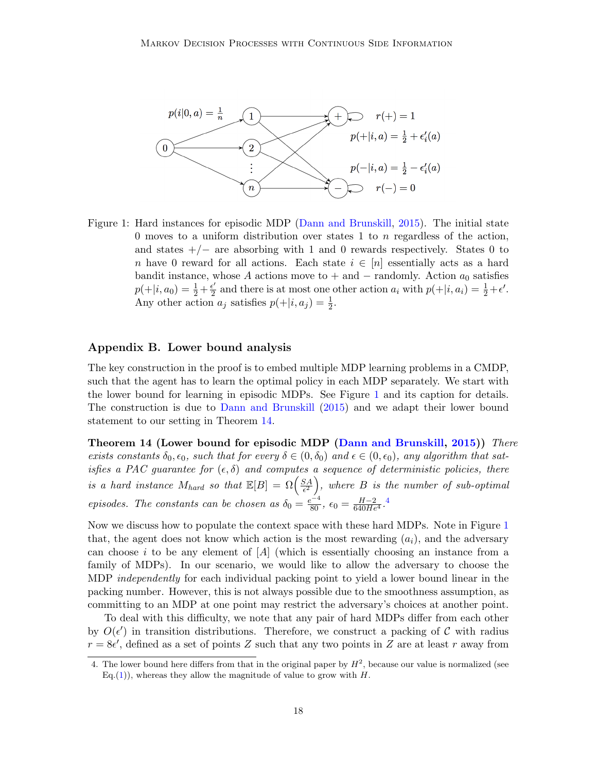

<span id="page-17-1"></span>Figure 1: Hard instances for episodic MDP [\(Dann and Brunskill,](#page-12-1) [2015\)](#page-12-1). The initial state 0 moves to a uniform distribution over states 1 to  $n$  regardless of the action, and states  $+/-$  are absorbing with 1 and 0 rewards respectively. States 0 to n have 0 reward for all actions. Each state  $i \in [n]$  essentially acts as a hard bandit instance, whose A actions move to + and  $-$  randomly. Action  $a_0$  satisfies  $p(+|i, a_0) = \frac{1}{2} + \frac{\epsilon'}{2}$  $\frac{\epsilon'}{2}$  and there is at most one other action  $a_i$  with  $p(+|i, a_i) = \frac{1}{2} + \epsilon'.$ Any other action  $a_j$  satisfies  $p(+|i, a_j) = \frac{1}{2}$ .

# <span id="page-17-0"></span>Appendix B. Lower bound analysis

The key construction in the proof is to embed multiple MDP learning problems in a CMDP, such that the agent has to learn the optimal policy in each MDP separately. We start with the lower bound for learning in episodic MDPs. See Figure [1](#page-17-1) and its caption for details. The construction is due to [Dann and Brunskill](#page-12-1) [\(2015\)](#page-12-1) and we adapt their lower bound statement to our setting in Theorem [14.](#page-17-2)

<span id="page-17-2"></span>Theorem 14 (Lower bound for episodic MDP [\(Dann and Brunskill,](#page-12-1) [2015\)](#page-12-1)) There exists constants  $\delta_0, \epsilon_0$ , such that for every  $\delta \in (0, \delta_0)$  and  $\epsilon \in (0, \epsilon_0)$ , any algorithm that satisfies a PAC guarantee for  $(\epsilon, \delta)$  and computes a sequence of deterministic policies, there is a hard instance  $M_{hard}$  so that  $\mathbb{E}[B] = \Omega\left(\frac{SA}{\epsilon^2}\right)$  $\left(\frac{SA}{\epsilon^2}\right)$ , where  $B$  is the number of sub-optimal episodes. The constants can be chosen as  $\delta_0 = \frac{e^{-4}}{80}$  $\delta_0 = \frac{e^{-4}}{80}$  $\delta_0 = \frac{e^{-4}}{80}$ ,  $\epsilon_0 = \frac{H-2}{640He^4}$ .

Now we discuss how to populate the context space with these hard MDPs. Note in Figure [1](#page-17-1) that, the agent does not know which action is the most rewarding  $(a_i)$ , and the adversary can choose i to be any element of  $[A]$  (which is essentially choosing an instance from a family of MDPs). In our scenario, we would like to allow the adversary to choose the MDP *independently* for each individual packing point to yield a lower bound linear in the packing number. However, this is not always possible due to the smoothness assumption, as committing to an MDP at one point may restrict the adversary's choices at another point.

To deal with this difficulty, we note that any pair of hard MDPs differ from each other by  $O(\epsilon')$  in transition distributions. Therefore, we construct a packing of C with radius  $r = 8\epsilon'$ , defined as a set of points Z such that any two points in Z are at least r away from

<span id="page-17-3"></span><sup>4.</sup> The lower bound here differs from that in the original paper by  $H^2$ , because our value is normalized (see Eq.[\(1\)](#page-2-1)), whereas they allow the magnitude of value to grow with  $H$ .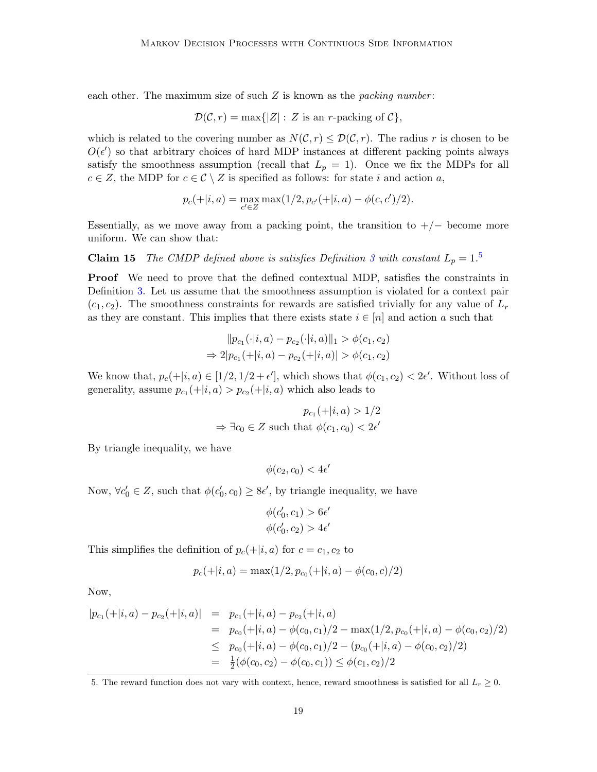each other. The maximum size of such  $Z$  is known as the *packing number*:

$$
\mathcal{D}(\mathcal{C}, r) = \max\{|Z| : Z \text{ is an } r\text{-packing of } C\},\
$$

which is related to the covering number as  $N(\mathcal{C}, r) \leq \mathcal{D}(\mathcal{C}, r)$ . The radius r is chosen to be  $O(\epsilon')$  so that arbitrary choices of hard MDP instances at different packing points always satisfy the smoothness assumption (recall that  $L_p = 1$ ). Once we fix the MDPs for all  $c \in Z$ , the MDP for  $c \in \mathcal{C} \setminus Z$  is specified as follows: for state i and action a,

<span id="page-18-1"></span>
$$
p_c(+|i,a) = \max_{c' \in Z} \max(1/2, p_{c'}(+|i,a) - \phi(c,c')/2).
$$

Essentially, as we move away from a packing point, the transition to  $+/-$  become more uniform. We can show that:

**Claim 1[5](#page-18-0)** The CMDP defined above is satisfies Definition [3](#page-2-2) with constant  $L_p = 1.5$ 

Proof We need to prove that the defined contextual MDP, satisfies the constraints in Definition [3.](#page-2-2) Let us assume that the smoothness assumption is violated for a context pair  $(c_1, c_2)$ . The smoothness constraints for rewards are satisfied trivially for any value of  $L_r$ as they are constant. This implies that there exists state  $i \in [n]$  and action a such that

$$
||p_{c_1}(\cdot|i, a) - p_{c_2}(\cdot|i, a)||_1 > \phi(c_1, c_2)
$$
  
\n
$$
\Rightarrow 2|p_{c_1}(+|i, a) - p_{c_2}(+|i, a)| > \phi(c_1, c_2)
$$

We know that,  $p_c(+|i, a) \in [1/2, 1/2 + \epsilon']$ , which shows that  $\phi(c_1, c_2) < 2\epsilon'$ . Without loss of generality, assume  $p_{c_1}(+|i, a) > p_{c_2}(+|i, a)$  which also leads to

$$
p_{c_1}(+|i, a) > 1/2
$$
  

$$
\Rightarrow \exists c_0 \in Z \text{ such that } \phi(c_1, c_0) < 2\epsilon'
$$

By triangle inequality, we have

$$
\phi(c_2, c_0) < 4\epsilon'
$$

Now,  $\forall c'_0 \in Z$ , such that  $\phi(c'_0, c_0) \geq 8\epsilon'$ , by triangle inequality, we have

$$
\phi(c'_0, c_1) > 6\epsilon'
$$
  

$$
\phi(c'_0, c_2) > 4\epsilon'
$$

This simplifies the definition of  $p_c(+|i, a)$  for  $c = c_1, c_2$  to

$$
p_c(+|i,a) = \max(1/2, p_{c_0}(+|i,a) - \phi(c_0, c)/2)
$$

Now,

$$
|p_{c_1}(+|i, a) - p_{c_2}(+|i, a)| = p_{c_1}(+|i, a) - p_{c_2}(+|i, a)
$$
  
\n
$$
= p_{c_0}(+|i, a) - \phi(c_0, c_1)/2 - \max(1/2, p_{c_0}(+|i, a) - \phi(c_0, c_2)/2)
$$
  
\n
$$
\leq p_{c_0}(+|i, a) - \phi(c_0, c_1)/2 - (p_{c_0}(+|i, a) - \phi(c_0, c_2)/2)
$$
  
\n
$$
= \frac{1}{2}(\phi(c_0, c_2) - \phi(c_0, c_1)) \leq \phi(c_1, c_2)/2
$$

<span id="page-18-0"></span>5. The reward function does not vary with context, hence, reward smoothness is satisfied for all  $L_r \geq 0$ .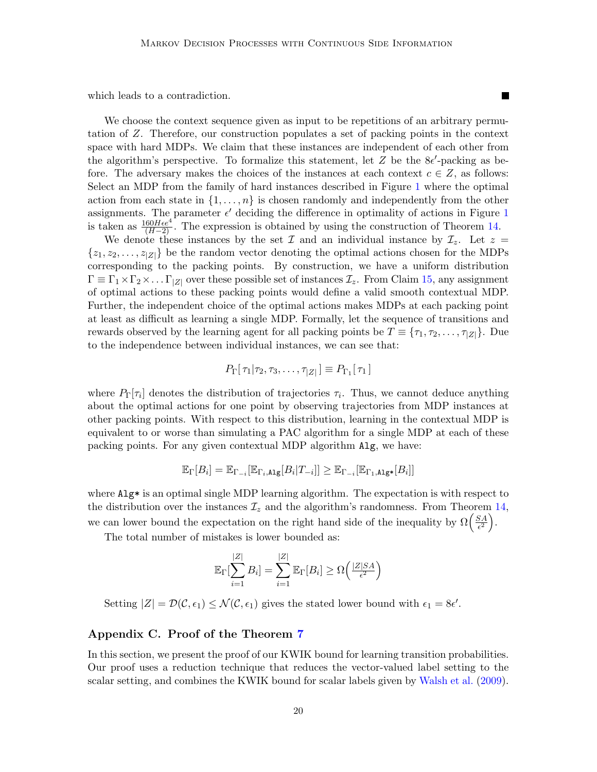which leads to a contradiction.

We choose the context sequence given as input to be repetitions of an arbitrary permutation of Z. Therefore, our construction populates a set of packing points in the context space with hard MDPs. We claim that these instances are independent of each other from the algorithm's perspective. To formalize this statement, let  $Z$  be the  $8\epsilon'$ -packing as before. The adversary makes the choices of the instances at each context  $c \in \mathbb{Z}$ , as follows: Select an MDP from the family of hard instances described in Figure [1](#page-17-1) where the optimal action from each state in  $\{1, \ldots, n\}$  is chosen randomly and independently from the other assignments. The parameter  $\epsilon'$  deciding the difference in optimality of actions in Figure [1](#page-17-1) is taken as  $\frac{160He^{4}}{(H-2)}$ . The expression is obtained by using the construction of Theorem [14.](#page-17-2)

We denote these instances by the set  $\mathcal I$  and an individual instance by  $\mathcal I_z$ . Let  $z =$  $\{z_1, z_2, \ldots, z_{|Z|}\}\$ be the random vector denoting the optimal actions chosen for the MDPs corresponding to the packing points. By construction, we have a uniform distribution  $\Gamma \equiv \Gamma_1 \times \Gamma_2 \times \ldots \Gamma_{|Z|}$  over these possible set of instances  $\mathcal{I}_z$ . From Claim [15,](#page-18-1) any assignment of optimal actions to these packing points would define a valid smooth contextual MDP. Further, the independent choice of the optimal actions makes MDPs at each packing point at least as difficult as learning a single MDP. Formally, let the sequence of transitions and rewards observed by the learning agent for all packing points be  $T \equiv \{\tau_1, \tau_2, \ldots, \tau_{|Z|}\}.$  Due to the independence between individual instances, we can see that:

$$
P_{\Gamma}[\tau_1|\tau_2,\tau_3,\ldots,\tau_{|Z|}] \equiv P_{\Gamma_1}[\tau_1]
$$

where  $P_{\Gamma}[\tau_i]$  denotes the distribution of trajectories  $\tau_i$ . Thus, we cannot deduce anything about the optimal actions for one point by observing trajectories from MDP instances at other packing points. With respect to this distribution, learning in the contextual MDP is equivalent to or worse than simulating a PAC algorithm for a single MDP at each of these packing points. For any given contextual MDP algorithm Alg, we have:

$$
\mathbb{E}_{\Gamma}[B_i] = \mathbb{E}_{\Gamma_{-i}}[\mathbb{E}_{\Gamma_i,\text{Alg}}[B_i|T_{-i}]] \geq \mathbb{E}_{\Gamma_{-i}}[\mathbb{E}_{\Gamma_1,\text{Alg*}}[B_i]]
$$

where  $\text{Alg}^*$  is an optimal single MDP learning algorithm. The expectation is with respect to the distribution over the instances  $\mathcal{I}_z$  and the algorithm's randomness. From Theorem [14,](#page-17-2) we can lower bound the expectation on the right hand side of the inequality by  $\Omega\left(\frac{SA}{\epsilon^2}\right)$  $\frac{SA}{\epsilon^2}\bigg).$ 

The total number of mistakes is lower bounded as:

$$
\mathbb{E}_{\Gamma}[\sum_{i=1}^{|Z|} B_i] = \sum_{i=1}^{|Z|} \mathbb{E}_{\Gamma}[B_i] \ge \Omega\left(\frac{|Z|SA}{\epsilon^2}\right)
$$

Setting  $|Z| = \mathcal{D}(\mathcal{C}, \epsilon_1) \leq \mathcal{N}(\mathcal{C}, \epsilon_1)$  gives the stated lower bound with  $\epsilon_1 = 8\epsilon'$ .

### <span id="page-19-0"></span>Appendix C. Proof of the Theorem [7](#page-8-0)

In this section, we present the proof of our KWIK bound for learning transition probabilities. Our proof uses a reduction technique that reduces the vector-valued label setting to the scalar setting, and combines the KWIK bound for scalar labels given by [Walsh et al.](#page-13-5) [\(2009\)](#page-13-5).

**The State**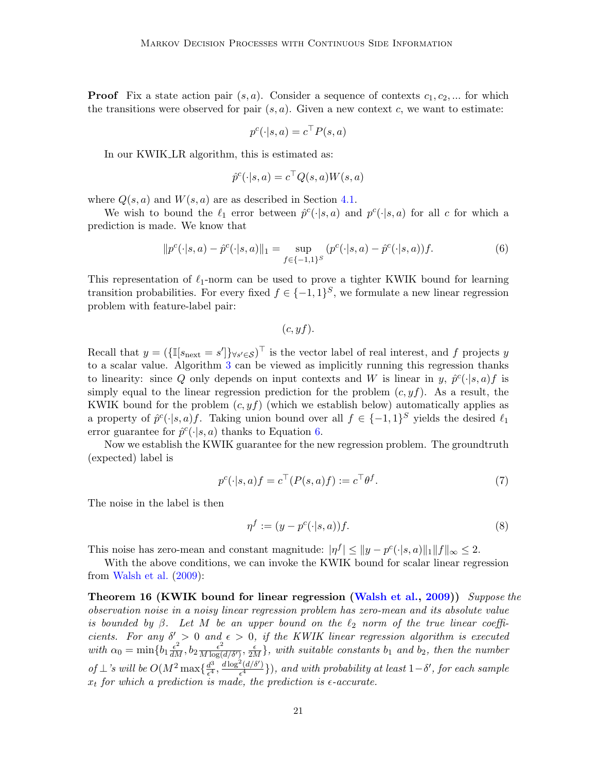**Proof** Fix a state action pair  $(s, a)$ . Consider a sequence of contexts  $c_1, c_2, ...$  for which the transitions were observed for pair  $(s, a)$ . Given a new context c, we want to estimate:

$$
p^c(\cdot|s, a) = c^{\top} P(s, a)
$$

In our KWIK LR algorithm, this is estimated as:

$$
\hat{p}^c(\cdot|s,a) = c^\top Q(s,a)W(s,a)
$$

where  $Q(s, a)$  and  $W(s, a)$  are as described in Section [4.1.](#page-6-3)

We wish to bound the  $\ell_1$  error between  $\hat{p}^c(\cdot|s, a)$  and  $p^c(\cdot|s, a)$  for all c for which a prediction is made. We know that

$$
||p^{c}(\cdot|s,a) - \hat{p}^{c}(\cdot|s,a)||_{1} = \sup_{f \in \{-1,1\}^{S}} (p^{c}(\cdot|s,a) - \hat{p}^{c}(\cdot|s,a))f.
$$
 (6)

This representation of  $\ell_1$ -norm can be used to prove a tighter KWIK bound for learning transition probabilities. For every fixed  $f \in \{-1,1\}^S$ , we formulate a new linear regression problem with feature-label pair:

<span id="page-20-0"></span> $(c, yf)$ .

Recall that  $y = (\{\mathbb{I}[s_{\text{next}} = s']\}_{\forall s' \in \mathcal{S}})^\top$  is the vector label of real interest, and f projects y to a scalar value. Algorithm [3](#page-9-0) can be viewed as implicitly running this regression thanks to linearity: since Q only depends on input contexts and W is linear in y,  $\hat{p}^c(\cdot|s,a) f$  is simply equal to the linear regression prediction for the problem  $(c, yf)$ . As a result, the KWIK bound for the problem  $(c, yf)$  (which we establish below) automatically applies as a property of  $\hat{p}^c(\cdot|s, a) f$ . Taking union bound over all  $f \in \{-1, 1\}^S$  yields the desired  $\ell_1$ error guarantee for  $\hat{p}^c(\cdot|s, a)$  thanks to Equation [6.](#page-20-0)

Now we establish the KWIK guarantee for the new regression problem. The groundtruth (expected) label is

$$
p^{c}(\cdot|s,a)f = c^{\top}(P(s,a)f) := c^{\top}\theta^{f}.
$$
\n<sup>(7)</sup>

The noise in the label is then

<span id="page-20-1"></span>
$$
\eta^f := (y - p^c(\cdot | s, a))f. \tag{8}
$$

This noise has zero-mean and constant magnitude:  $|\eta^f| \le ||y - p^c(\cdot|s, a)||_1 ||f||_{\infty} \le 2$ .

With the above conditions, we can invoke the KWIK bound for scalar linear regression from [Walsh et al.](#page-13-5) [\(2009\)](#page-13-5):

Theorem 16 (KWIK bound for linear regression [\(Walsh et al.,](#page-13-5) [2009\)](#page-13-5)) Suppose the observation noise in a noisy linear regression problem has zero-mean and its absolute value is bounded by  $\beta$ . Let M be an upper bound on the  $\ell_2$  norm of the true linear coefficients. For any  $\delta' > 0$  and  $\epsilon > 0$ , if the KWIK linear regression algorithm is executed with  $\alpha_0 = \min\{b_1 \frac{\epsilon^2}{dM}, b_2 \frac{\epsilon^2}{M \log(\epsilon)}\}$  $\frac{\epsilon^2}{M \log(d/\delta')}$ ,  $\frac{\epsilon}{2M}$ , with suitable constants  $b_1$  and  $b_2$ , then the number of  $\perp$ 's will be  $O(M^2 \max\{\frac{d^3}{\epsilon^4})\}$  $\frac{d^3}{\epsilon^4}, \frac{d\log^2(d/\delta')}{\epsilon^4}$  $\frac{\mathcal{A}(d/\delta')}{\epsilon^4}$ }), and with probability at least  $1-\delta'$ , for each sample  $x_t$  for which a prediction is made, the prediction is  $\epsilon$ -accurate.